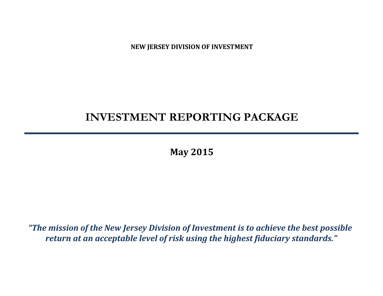**NEW JERSEY DIVISION OF INVESTMENT**

# **INVESTMENT REPORTING PACKAGE**

**May 2015**

*"The mission of the New Jersey Division of Investment is to achieve the best possible return at an acceptable level of risk using the highest fiduciary standards."*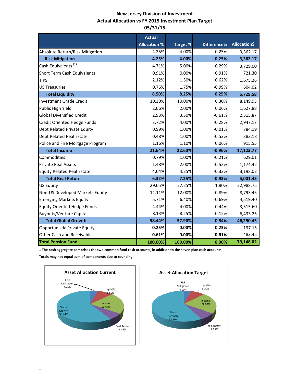# **New Jersey Division of Investment Actual Allocation vs FY 2015 Investment Plan Target 05/31/15**

|                                    | <b>Actual</b>       |          |             |              |
|------------------------------------|---------------------|----------|-------------|--------------|
|                                    | <b>Allocation %</b> | Target % | Difference% | Allocation\$ |
| Absolute Return/Risk Mitigation    | 4.25%               | 4.00%    | 0.25%       | 3,362.17     |
| <b>Risk Mitigation</b>             | 4.25%               | 4.00%    | 0.25%       | 3,362.17     |
| Cash Equivalents <sup>(1)</sup>    | 4.71%               | 5.00%    | $-0.29%$    | 3,729.00     |
| Short Term Cash Equivalents        | 0.91%               | 0.00%    | 0.91%       | 721.30       |
| <b>TIPS</b>                        | 2.12%               | 1.50%    | 0.62%       | 1,675.26     |
| <b>US Treasuries</b>               | 0.76%               | 1.75%    | $-0.99%$    | 604.02       |
| <b>Total Liquidity</b>             | 8.50%               | 8.25%    | 0.25%       | 6,729.58     |
| <b>Investment Grade Credit</b>     | 10.30%              | 10.00%   | 0.30%       | 8,149.93     |
| Public High Yield                  | 2.06%               | 2.00%    | 0.06%       | 1,627.88     |
| <b>Global Diversified Credit</b>   | 2.93%               | 3.50%    | $-0.61%$    | 2,315.87     |
| Credit Oriented Hedge Funds        | 3.72%               | 4.00%    | $-0.28%$    | 2,947.17     |
| Debt Related Private Equity        | 0.99%               | 1.00%    | $-0.01%$    | 784.19       |
| <b>Debt Related Real Estate</b>    | 0.48%               | 1.00%    | $-0.52%$    | 383.18       |
| Police and Fire Mortgage Program   | 1.16%               | 1.10%    | 0.06%       | 915.55       |
| <b>Total Income</b>                | 21.64%              | 22.60%   | $-0.96%$    | 17,123.77    |
| Commodities                        | 0.79%               | 1.00%    | $-0.21%$    | 629.01       |
| <b>Private Real Assets</b>         | 1.48%               | 2.00%    | $-0.52%$    | 1,174.42     |
| <b>Equity Related Real Estate</b>  | 4.04%               | 4.25%    | $-0.33%$    | 3,198.02     |
| <b>Total Real Return</b>           | 6.32%               | 7.25%    | $-0.93%$    | 5,001.45     |
| <b>US Equity</b>                   | 29.05%              | 27.25%   | 1.80%       | 22,988.75    |
| Non-US Developed Markets Equity    | 11.11%              | 12.00%   | $-0.89%$    | 8,793.45     |
| <b>Emerging Markets Equity</b>     | 5.71%               | 6.40%    | $-0.69%$    | 4,519.40     |
| <b>Equity Oriented Hedge Funds</b> | 4.44%               | 4.00%    | 0.44%       | 3,515.60     |
| <b>Buyouts/Venture Capital</b>     | 8.13%               | 8.25%    | $-0.12%$    | 6,433.25     |
| <b>Total Global Growth</b>         | 58.44%              | 57.90%   | 0.54%       | 46,250.45    |
| Opportunistic Private Equity       | 0.25%               | 0.00%    | 0.23%       | 197.15       |
| <b>Other Cash and Receivables</b>  | 0.61%               | 0.00%    | 0.61%       | 483.45       |
| <b>Total Pension Fund</b>          | 100.00%             | 100.00%  | 0.00%       | 79,148.02    |

**1 The cash aggregate comprises the two common fund cash accounts, in addition to the seven plan cash accounts.** 

**Totals may not equal sum of components due to rounding.**

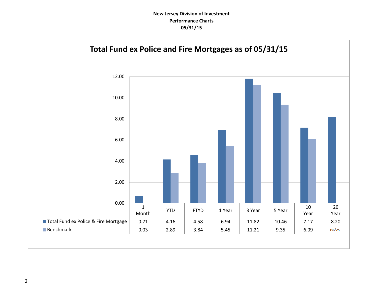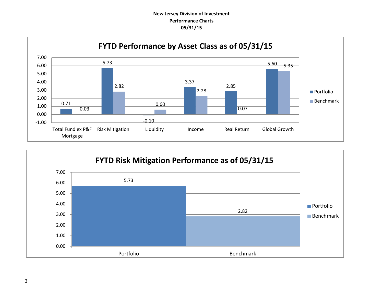# **New Jersey Division of Investment Performance Charts 05/31/15**



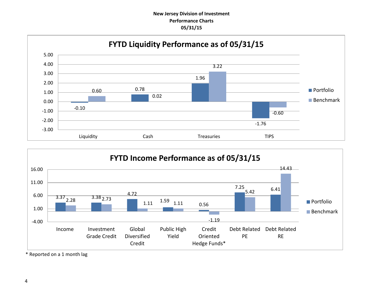## **New Jersey Division of Investment Performance Charts 05/31/15**





\* Reported on a 1 month lag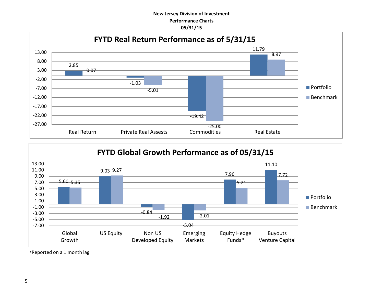## **New Jersey Division of Investment Performance Charts 05/31/15**





\*Reported on a 1 month lag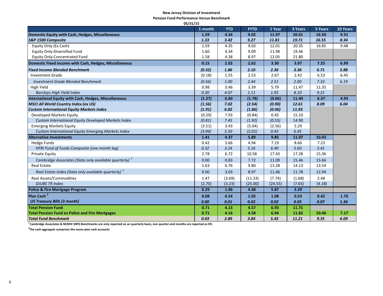#### **New Jersey Division of Investment**

**Pension Fund Performance Versus Benchmark**

| 05/31/15                                                       |         |            |             |         |         |         |          |  |
|----------------------------------------------------------------|---------|------------|-------------|---------|---------|---------|----------|--|
|                                                                | 1 month | <b>YTD</b> | <b>FYTD</b> | 1 Year  | 3 Years | 5 Years | 10 Years |  |
| Domestic Equity with Cash, Hedges, Miscellaneous               | 1.59    | 4.34       | 9.02        | 11.97   | 20.01   | 16.50   | 9.31     |  |
| S&P 1500 Composite                                             | 1.33    | 3.42       | 9.27        | 11.81   | 19.71   | 16.55   | 8.34     |  |
| Equity Only (Ex Cash)                                          | 1.59    | 4.35       | 9.03        | 12.01   | 20.35   | 16.85   | 9.48     |  |
| <b>Equity Only-Diversified Fund</b>                            | 1.60    | 4.34       | 9.09        | 11.98   | 19.46   |         |          |  |
| <b>Equity Only-Concentrated Fund</b>                           | 1.58    | 4.38       | 8.97        | 12.05   | 21.80   |         |          |  |
| Domestic Fixed Income with Cash, Hedges, Miscellaneous         | 0.15    | 2.02       | 2.62        | 3.30    | 3.97    | 7.25    | 6.99     |  |
| <b>Fixed Income Blended Benchmark</b>                          | (0.32)  | 1.86       | 2.10        | 2.36    | 3.36    | 6.71    | 5.88     |  |
| <b>Investment Grade</b>                                        | (0.18)  | 1.55       | 2.53        | 2.67    | 2.42    | 6.53    | 6.45     |  |
| <b>Investment Grade Blended Benchmark</b>                      | (0.56)  | 1.00       | 2.44        | 2.51    | 2.00    | 7.33    | 6.19     |  |
| High Yield                                                     | 0.98    | 3.46       | 3.39        | 5.79    | 11.47   | 11.35   |          |  |
| <b>Barclays High Yield Index</b>                               | 0.30    | 4.07       | 1.11        | 1.95    | 8.10    | 9.21    |          |  |
| <b>International Equity with Cash, Hedges, Miscellaneous</b>   | (1.27)  | 6.60       | (1.78)      | (0.06)  | 11.49   | 6.37    | 4.93     |  |
| <b>MSCI All World Country Index (ex US)</b>                    | (1.56)  | 7.02       | (2.54)      | (0.90)  | 12.61   | 8.09    | 6.04     |  |
| <b>Custom International Equity Markets Index</b>               | (1.91)  | 6.82       | (1.86)      | (0.06)  | 11.93   |         |          |  |
| Developed Markets Equity                                       | (0.29)  | 7.93       | (0.84)      | 0.45    | 15.10   |         |          |  |
| Custom International Equity Developed Markets Index            | (0.81)  | 7.45       | (1.92)      | (0.55)  | 14.90   |         |          |  |
| <b>Emerging Markets Equity</b>                                 | (3.51)  | 3.43       | (5.04)      | (2.56)  | 5.29    |         |          |  |
| Custom International Equity Emerging Markets Index             | (3.94)  | 5.50       | (2.01)      | 0.45    | 6.45    |         |          |  |
| <b>Alternative Investments</b>                                 | 1.41    | 4.37       | 5.89        | 9.85    | 11.07   | 10.43   |          |  |
| <b>Hedge Funds</b>                                             | 0.42    | 3.66       | 4.94        | 7.19    | 8.66    | 7.23    |          |  |
| HFRI Fund of Funds Composite (one month lag)                   | 0.32    | 3.24       | 5.16        | 6.40    | 5.60    | 3.41    |          |  |
| <b>Private Equity</b>                                          | 2.78    | 6.72       | 10.58       | 17.43   | 17.28   | 15.36   |          |  |
| Cambridge Associates (Data only available quarterly) $1$       | 0.00    | 0.83       | 7.72        | 11.09   | 15.46   | 15.66   |          |  |
| <b>Real Estate</b>                                             | 1.63    | 6.76       | 9.80        | 13.28   | 14.13   | 13.54   |          |  |
| Real Estate Index (Data only available quarterly) <sup>1</sup> | 0.00    | 3.03       | 8.97        | 11.46   | 11.78   | 12.94   |          |  |
| <b>Real Assets/Commodities</b>                                 | 1.47    | (3.69)     | (11.33)     | (7.74)  | (1.68)  | 2.48    |          |  |
| <b>DJUBS TR Index</b>                                          | (2.70)  | (3.23)     | (25.00)     | (24.55) | (7.65)  | (4.18)  |          |  |
| Police & Fire Mortgage Program                                 | 0.29    | 1.96       | 4.38        | 5.87    | 3.29    |         |          |  |
| Plan Cash <sup>2</sup>                                         | 0.08    | 0.54       | 1.02        | 1.08    | 0.53    | 0.42    | 1.70     |  |
| <b>US Treasury Bills (3 month)</b>                             | 0.00    | 0.01       | 0.02        | 0.02    | 0.05    | 0.07    | 1.36     |  |
| <b>Total Pension Fund</b>                                      | 0.71    | 4.13       | 4.57        | 6.93    | 11.71   |         |          |  |
| <b>Total Pension Fund ex Police and Fire Mortgages</b>         | 0.71    | 4.16       | 4.58        | 6.94    | 11.82   | 10.46   | 7.17     |  |
| <b>Total Fund Benchmark</b>                                    | 0.03    | 2.89       | 3.84        | 5.45    | 11.21   | 9.35    | 6.09     |  |

**1 Cambridge Associates & NCREIF (NPI) Benchmarks are only reported on an quarterly basis, non quarter-end months are reported as 0%**

**2 The cash aggregate comprises the seven plan cash accounts**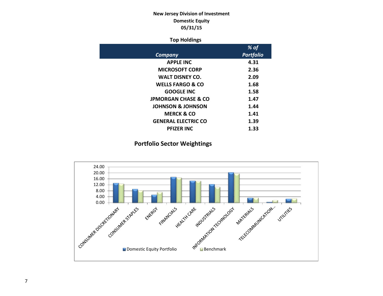# **New Jersey Division of Investment Domestic Equity 05/31/15**

## **Top Holdings**

|                                | % of             |
|--------------------------------|------------------|
| Company                        | <b>Portfolio</b> |
| <b>APPLE INC</b>               | 4.31             |
| <b>MICROSOFT CORP</b>          | 2.36             |
| <b>WALT DISNEY CO.</b>         | 2.09             |
| <b>WELLS FARGO &amp; CO</b>    | 1.68             |
| <b>GOOGLE INC</b>              | 1.58             |
| <b>JPMORGAN CHASE &amp; CO</b> | 1.47             |
| <b>JOHNSON &amp; JOHNSON</b>   | 1.44             |
| <b>MERCK &amp; CO</b>          | 1.41             |
| <b>GENERAL ELECTRIC CO</b>     | 1.39             |
| <b>PFIZER INC</b>              | 1.33             |

# **Portfolio Sector Weightings**

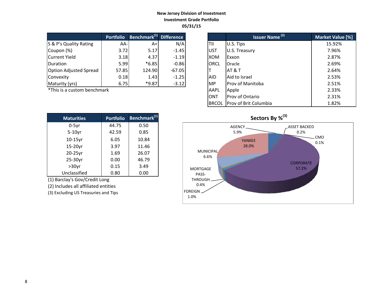## **New Jersey Division of Investment Investment Grade Portfolio 05/31/15**

|                               | <b>Portfolio</b> | Benchmark <sup>(1)</sup> Difference |          |             | Issuer Name <sup>(2)</sup> | Market Valu |
|-------------------------------|------------------|-------------------------------------|----------|-------------|----------------------------|-------------|
| S & P's Quality Rating        | $AA-$            | A+                                  | N/A      | TII         | U.S. Tips                  | 15.92%      |
| Coupon (%)                    | 3.72             | 5.17                                | $-1.45$  | <b>UST</b>  | U.S. Treasury              | 7.96%       |
| Current Yield                 | 3.18             | 4.37                                | $-1.19$  | <b>XOM</b>  | Exxon                      | 2.87%       |
| <b>IDuration</b>              | 5.99             | $*6.85$                             | $-0.86$  | <b>ORCL</b> | Oracle                     | 2.69%       |
| <b>Option Adjusted Spread</b> | 57.85            | 124.90                              | $-67.05$ |             | <b>AT &amp; T</b>          | 2.64%       |
| Convexity                     | 0.18             | 1.43                                | $-1.25$  | <b>AID</b>  | Aid to Israel              | 2.53%       |
| Maturity (yrs)                | 6.75             | $*9.87$                             | $-3.12$  | <b>MP</b>   | Prov of Manitoba           | 2.51%       |

\*This is a custom benchmark

| <b>Maturities</b> | <b>Portfolio</b> | Benchmark <sup>(1)</sup> |
|-------------------|------------------|--------------------------|
| $0-5$ yr          | 44.75            | 0.50                     |
| $5-10$ yr         | 42.59            | 0.85                     |
| 10-15yr           | 6.05             | 10.84                    |
| 15-20yr           | 3.97             | 11.46                    |
| 20-25yr           | 1.69             | 26.07                    |
| 25-30yr           | 0.00             | 46.79                    |
| $>30$ yr          | 0.15             | 3.49                     |
| Unclassified      | 0.80             | 0.00                     |

(1) Barclay's Gov/Credit Long

(2) Includes all affiliated entities

(3) Excluding US Treasuries and Tips

| <b>Portfolio</b> | Benchmark <sup>(1)</sup> Difference |          |              | <b>Issuer Name<sup>(2)</sup></b> | Market Value [%] |
|------------------|-------------------------------------|----------|--------------|----------------------------------|------------------|
| AA-              | $A+$                                | N/A      | TII          | U.S. Tips                        | 15.92%           |
| 3.72             | 5.17                                | $-1.45$  | <b>UST</b>   | U.S. Treasury                    | 7.96%            |
| 3.18             | 4.37                                | $-1.19$  | XOM          | Exxon                            | 2.87%            |
| 5.99             | $*6.85$                             | $-0.86$  | <b>ORCL</b>  | Oracle                           | 2.69%            |
| 57.85            | 124.90                              | $-67.05$ |              | AT & T                           | 2.64%            |
| 0.18             | 1.43                                | $-1.25$  | <b>AID</b>   | Aid to Israel                    | 2.53%            |
| 6.75             | *9.87                               | $-3.12$  | <b>IMP</b>   | Prov of Manitoba                 | 2.51%            |
| ۰k               |                                     |          | AAPL         | Apple                            | 2.33%            |
|                  |                                     |          | <b>ONT</b>   | Prov of Ontario                  | 2.31%            |
|                  |                                     |          | <b>BRCOL</b> | Prov of Brit Columbia            | 1.82%            |

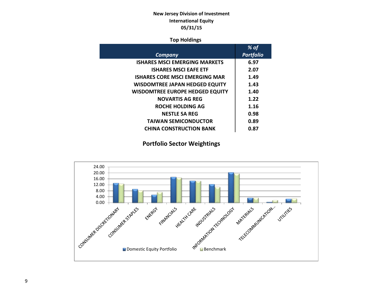# **New Jersey Division of Investment International Equity 05/31/15**

## **Top Holdings**

|                                        | % of             |
|----------------------------------------|------------------|
| Company                                | <b>Portfolio</b> |
| <b>ISHARES MSCI EMERGING MARKETS</b>   | 6.97             |
| <b>ISHARES MSCI EAFE ETF</b>           | 2.07             |
| <b>ISHARES CORE MSCI EMERGING MAR</b>  | 1.49             |
| <b>WISDOMTREE JAPAN HEDGED EQUITY</b>  | 1.43             |
| <b>WISDOMTREE EUROPE HEDGED EQUITY</b> | 1.40             |
| <b>NOVARTIS AG REG</b>                 | 1.22             |
| ROCHE HOLDING AG                       | 1.16             |
| <b>NESTLE SA REG</b>                   | 0.98             |
| <b>TAIWAN SEMICONDUCTOR</b>            | 0.89             |
| <b>CHINA CONSTRUCTION BANK</b>         | 0.87             |

# **Portfolio Sector Weightings**

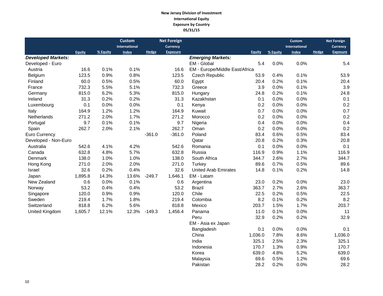## **New Jersey Division of Investment International Equity Exposure by Country 05/31/15**

|                           |               |          | <b>Custom</b> |              | <b>Net Foreign</b> |                                |               |          | <b>Custom</b>        |              | <b>Net Foreign</b> |
|---------------------------|---------------|----------|---------------|--------------|--------------------|--------------------------------|---------------|----------|----------------------|--------------|--------------------|
|                           |               |          | International |              | <b>Currency</b>    |                                |               |          | <b>International</b> |              | <b>Currency</b>    |
|                           | <b>Equity</b> | % Equity | <b>Index</b>  | <b>Hedge</b> | <b>Exposure</b>    |                                | <b>Equity</b> | % Equity | <b>Index</b>         | <b>Hedge</b> | <b>Exposure</b>    |
| <b>Developed Markets:</b> |               |          |               |              |                    | <b>Emerging Markets:</b>       |               |          |                      |              |                    |
| Developed - Euro          |               |          |               |              |                    | EM - Global                    | 5.4           | 0.0%     | 0.0%                 |              | 5.4                |
| Austria                   | 16.6          | 0.1%     | 0.1%          |              | 16.6               | EM - Europe/Middle East/Africa |               |          |                      |              |                    |
| Belgium                   | 123.5         | 0.9%     | 0.8%          |              | 123.5              | Czech Republic                 | 53.9          | 0.4%     | 0.1%                 |              | 53.9               |
| Finland                   | 60.0          | 0.5%     | 0.5%          |              | 60.0               | Egypt                          | 20.4          | 0.2%     | 0.1%                 |              | 20.4               |
| France                    | 732.3         | 5.5%     | 5.1%          |              | 732.3              | Greece                         | 3.9           | 0.0%     | 0.1%                 |              | 3.9                |
| Germany                   | 815.0         | 6.2%     | 5.3%          |              | 815.0              | Hungary                        | 24.8          | 0.2%     | 0.1%                 |              | 24.8               |
| Ireland                   | 31.3          | 0.2%     | 0.2%          |              | 31.3               | Kazakhstan                     | 0.1           | 0.0%     | 0.0%                 |              | 0.1                |
| Luxembourg                | 0.1           | 0.0%     | 0.0%          |              | 0.1                | Kenya                          | 0.2           | 0.0%     | 0.0%                 |              | 0.2                |
| Italy                     | 164.9         | 1.2%     | 1.2%          |              | 164.9              | Kuwait                         | 0.7           | 0.0%     | 0.0%                 |              | 0.7                |
| Netherlands               | 271.2         | 2.0%     | 1.7%          |              | 271.2              | Morocco                        | 0.2           | 0.0%     | 0.0%                 |              | 0.2                |
| Portugal                  | 9.7           | 0.1%     | 0.1%          |              | 9.7                | Nigeria                        | 0.4           | 0.0%     | 0.0%                 |              | 0.4                |
| Spain                     | 262.7         | 2.0%     | 2.1%          |              | 262.7              | Oman                           | 0.2           | 0.0%     | 0.0%                 |              | 0.2                |
| Euro Currency             |               |          |               | $-361.0$     | $-361.0$           | Poland                         | 83.4          | 0.6%     | 0.5%                 |              | 83.4               |
| Developed - Non-Euro      |               |          |               |              |                    | Qatar                          | 20.8          | 0.2%     | 0.3%                 |              | 20.8               |
| Australia                 | 542.6         | 4.1%     | 4.2%          |              | 542.6              | Romania                        | 0.1           | 0.0%     | 0.0%                 |              | 0.1                |
| Canada                    | 632.8         | 4.8%     | 5.7%          |              | 632.8              | Russia                         | 116.9         | 0.9%     | 1.1%                 |              | 116.9              |
| Denmark                   | 138.0         | 1.0%     | 1.0%          |              | 138.0              | South Africa                   | 344.7         | 2.6%     | 2.7%                 |              | 344.7              |
| Hong Kong                 | 271.0         | 2.0%     | 2.0%          |              | 271.0              | Turkey                         | 89.6          | 0.7%     | 0.5%                 |              | 89.6               |
| Israel                    | 32.6          | 0.2%     | 0.4%          |              | 32.6               | <b>United Arab Emirates</b>    | 14.8          | 0.1%     | 0.2%                 |              | 14.8               |
| Japan                     | 1,895.8       | 14.3%    | 13.6%         | $-249.7$     | 1,646.1            | EM - Latam                     |               |          |                      |              |                    |
| New Zealand               | 0.6           | 0.0%     | 0.1%          |              | 0.6                | Argentina                      | 23.0          | 0.2%     | 0.0%                 |              | 23.0               |
| Norway                    | 53.2          | 0.4%     | 0.4%          |              | 53.2               | <b>Brazil</b>                  | 363.7         | 2.7%     | 2.6%                 |              | 363.7              |
| Singapore                 | 120.0         | 0.9%     | 0.9%          |              | 120.0              | Chile                          | 22.5          | 0.2%     | 0.5%                 |              | 22.5               |
| Sweden                    | 219.4         | 1.7%     | 1.8%          |              | 219.4              | Colombia                       | 8.2           | 0.1%     | 0.2%                 |              | 8.2                |
| Switzerland               | 818.8         | 6.2%     | 5.6%          |              | 818.8              | Mexico                         | 203.7         | 1.5%     | 1.7%                 |              | 203.7              |
| United Kingdom            | 1,605.7       | 12.1%    | 12.3%         | $-149.3$     | 1,456.4            | Panama                         | 11.0          | 0.1%     | 0.0%                 |              | 11                 |
|                           |               |          |               |              |                    | Peru                           | 32.9          | 0.2%     | 0.2%                 |              | 32.9               |
|                           |               |          |               |              |                    | EM - Asia ex Japan             |               |          |                      |              |                    |
|                           |               |          |               |              |                    | Bangladesh                     | 0.1           | 0.0%     | 0.0%                 |              | 0.1                |
|                           |               |          |               |              |                    | China                          | 1,036.0       | 7.8%     | 8.6%                 |              | 1,036.0            |
|                           |               |          |               |              |                    | India                          | 325.1         | 2.5%     | 2.3%                 |              | 325.1              |
|                           |               |          |               |              |                    | Indonesia                      | 170.7         | 1.3%     | 0.9%                 |              | 170.7              |

Korea 639.0 4.8% 5.2% 639.0 Malaysia 69.6 0.5% 1.2% 69.6

Pakistan 28.2 0.2% 0.0% 28.2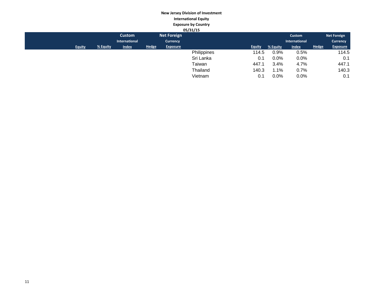## **New Jersey Division of Investment International Equity Exposure by Country**

|               |          |               |              |                    | 05/31/15    |               |          |               |              |                    |
|---------------|----------|---------------|--------------|--------------------|-------------|---------------|----------|---------------|--------------|--------------------|
|               |          | <b>Custom</b> |              | <b>Net Foreign</b> |             |               |          | Custom        |              | <b>Net Foreign</b> |
|               |          | International |              | <b>Currency</b>    |             |               |          | International |              | <b>Currency</b>    |
| <b>Equity</b> | % Equity | <b>Index</b>  | <b>Hedge</b> | <b>Exposure</b>    |             | <b>Equity</b> | % Equity | <b>Index</b>  | <b>Hedge</b> | <b>Exposure</b>    |
|               |          |               |              |                    | Philippines | 114.5         | 0.9%     | 0.5%          |              | 114.5              |
|               |          |               |              |                    | Sri Lanka   | 0.1           | 0.0%     | 0.0%          |              | 0.1                |
|               |          |               |              |                    | Taiwan      | 447.1         | 3.4%     | 4.7%          |              | 447.1              |
|               |          |               |              |                    | Thailand    | 140.3         | 1.1%     | 0.7%          |              | 140.3              |
|               |          |               |              |                    | Vietnam     | 0.1           | 0.0%     | 0.0%          |              | 0.1                |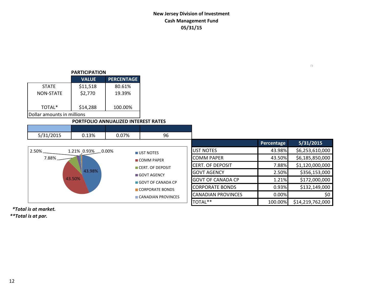# **New Jersey Division of Investment Cash Management Fund 05/31/15**

| <b>PARTICIPATION</b>       |              |                   |  |  |  |  |  |  |  |
|----------------------------|--------------|-------------------|--|--|--|--|--|--|--|
|                            | <b>VALUE</b> | <b>PERCENTAGE</b> |  |  |  |  |  |  |  |
| <b>STATE</b>               | \$11,518     | 80.61%            |  |  |  |  |  |  |  |
| <b>NON-STATE</b>           | \$2,770      | 19.39%            |  |  |  |  |  |  |  |
| TOTAL*                     | \$14,288     | 100.00%           |  |  |  |  |  |  |  |
| Dollar amounts in millions |              |                   |  |  |  |  |  |  |  |

## **PORTFOLIO ANNUALIZED INTEREST RATES**

| 5/31/2015 | 0.13%              | 0.07% | 96                 |                           |            |                  |
|-----------|--------------------|-------|--------------------|---------------------------|------------|------------------|
|           |                    |       |                    |                           | Percentage | 5/31/2015        |
| $2.50\%$  | 1.21% 0.93% _0.00% |       | UST NOTES          | UST NOTES                 | 43.98%     | \$6,253,610,000  |
| $7.88\%$  |                    |       | <b>COMM PAPER</b>  | <b>COMM PAPER</b>         | 43.50%     | \$6,185,850,000  |
|           |                    |       | CERT. OF DEPOSIT   | <b>CERT. OF DEPOSIT</b>   | 7.88%      | \$1,120,000,000  |
|           | 43.98%             |       | <b>GOVT AGENCY</b> | <b>GOVT AGENCY</b>        | 2.50%      | \$356,153,000    |
|           | 43.50%             |       | GOVT OF CANADA CP  | <b>GOVT OF CANADA CP</b>  | 1.21%      | \$172,000,000    |
|           |                    |       | CORPORATE BONDS    | <b>CORPORATE BONDS</b>    | 0.93%      | \$132,149,000    |
|           |                    |       | CANADIAN PROVINCES | <b>CANADIAN PROVINCES</b> | 0.00%      | \$0              |
|           |                    |       |                    | TOTAL**                   | 100.00%    | \$14,219,762,000 |

 *\*Total is at market.*

*\*\*Total is at par.*

 $\Box$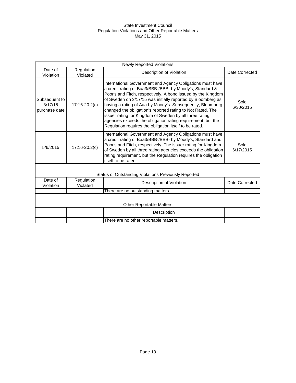## State Investment Council Regulation Violations and Other Reportable Matters May 31, 2015

| <b>Newly Reported Violations</b>          |                        |                                                                                                                                                                                                                                                                                                                                                                                                                                                                                                                                                                      |                   |  |  |  |  |  |
|-------------------------------------------|------------------------|----------------------------------------------------------------------------------------------------------------------------------------------------------------------------------------------------------------------------------------------------------------------------------------------------------------------------------------------------------------------------------------------------------------------------------------------------------------------------------------------------------------------------------------------------------------------|-------------------|--|--|--|--|--|
| Date of<br>Violation                      | Regulation<br>Violated | Description of Violation                                                                                                                                                                                                                                                                                                                                                                                                                                                                                                                                             | Date Corrected    |  |  |  |  |  |
| Subsequent to<br>3/17/15<br>purchase date | $17:16-20.2(c)$        | International Government and Agency Obligations must have<br>a credit rating of Baa3/BBB-/BBB- by Moody's, Standard &<br>Poor's and Fitch, respectively. A bond issued by the Kingdom<br>of Sweden on 3/17/15 was initially reported by Bloomberg as<br>having a rating of Aaa by Moody's. Subsequently, Bloomberg<br>changed the obligation's reported rating to Not Rated. The<br>issuer rating for Kingdom of Sweden by all three rating<br>agencies exceeds the obligation rating requirement, but the<br>Regulation requires the obligation itself to be rated. | Sold<br>6/30/2015 |  |  |  |  |  |
| 5/6/2015                                  | $17:16-20.2(c)$        | International Government and Agency Obligations must have<br>a credit rating of Baa3/BBB-/BBB- by Moody's, Standard and<br>Poor's and Fitch, respectively. The issuer rating for Kingdom<br>of Sweden by all three rating agencies exceeds the obligation<br>rating requirement, but the Regulation requires the obligation<br>itself to be rated.                                                                                                                                                                                                                   | Sold<br>6/17/2015 |  |  |  |  |  |
|                                           |                        |                                                                                                                                                                                                                                                                                                                                                                                                                                                                                                                                                                      |                   |  |  |  |  |  |
|                                           |                        | Status of Outstanding Violations Previously Reported                                                                                                                                                                                                                                                                                                                                                                                                                                                                                                                 |                   |  |  |  |  |  |
| Date of<br>Violation                      | Regulation<br>Violated | Description of Violation                                                                                                                                                                                                                                                                                                                                                                                                                                                                                                                                             | Date Corrected    |  |  |  |  |  |
|                                           |                        | There are no outstanding matters.                                                                                                                                                                                                                                                                                                                                                                                                                                                                                                                                    |                   |  |  |  |  |  |
|                                           |                        |                                                                                                                                                                                                                                                                                                                                                                                                                                                                                                                                                                      |                   |  |  |  |  |  |
|                                           |                        | <b>Other Reportable Matters</b>                                                                                                                                                                                                                                                                                                                                                                                                                                                                                                                                      |                   |  |  |  |  |  |
|                                           |                        | Description                                                                                                                                                                                                                                                                                                                                                                                                                                                                                                                                                          |                   |  |  |  |  |  |
|                                           |                        | There are no other reportable matters.                                                                                                                                                                                                                                                                                                                                                                                                                                                                                                                               |                   |  |  |  |  |  |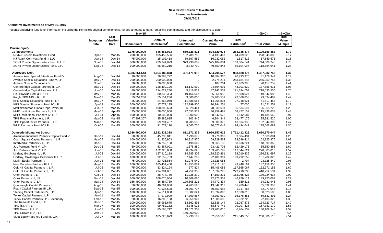#### **Alternative Investments as of May 31, 2015**

Presents underlying fund level information including the Portfolio's original commitments, funded amounts to date, remaining commitments and the distributions to date.

|                                             |               |                   | $May-15$          | Α                        |                 | в                     | C                        | $=(B+C)$           | =(B+C)/A        |
|---------------------------------------------|---------------|-------------------|-------------------|--------------------------|-----------------|-----------------------|--------------------------|--------------------|-----------------|
|                                             | Inception     | Last<br>Valuation |                   | Amount                   | <b>Unfunded</b> | <b>Current Market</b> | <b>Total</b>             |                    | Total<br>Value  |
|                                             | Date          | Date              | <b>Commitment</b> | Contributed <sup>1</sup> | Commitment      | Value                 | Distributed <sup>2</sup> | <b>Total Value</b> | <b>Multiple</b> |
| <b>Private Equity</b>                       |               |                   |                   |                          |                 |                       |                          |                    |                 |
| <b>Co-Investments</b>                       |               |                   | 1,175,000,000     | 646,563,023              | 569,326,811     | 824,820,978           | 284,335,874              | 1,109,156,852      | 1.72            |
| NB/NJ Custom Investment Fund II             | Apr-12        | Mar-15            | 200,000,000       | 105,459,566              | 132,789,752     | 184, 133, 467         | 44,209,620               | 228,343,088        | 2.17            |
| NJ Roark Co-Invest Fund III LLC             | $Jan-14$      | Dec-14            | 75,000,000        | 15,102,418               | 59,897,582      | 16,032,062            | 1,517,513                | 17,549,575         | 1.16            |
| SONJ Private Opportunities Fund II, L.P.    | Nov-07        | Dec-14            | 800,000,000       | 429,341,829              | 373,298,687     | 575,104,604           | 169,504,644              | 744,609,248        | 1.73            |
| SONJ Private Opportunities Fund, L.P.       | Sep-06        | Dec-14            | 100,000,000       | 96,659,210               | 3,340,790       | 49,550,844            | 69,104,097               | 118,654,941        | 1.23            |
| <b>Distressed Debt</b>                      |               |                   | 1,336,861,543     | 1,064,185,878            | 401,171,918     | 554,794,577           | 903,188,177              | 1,457,982,753      | 1.37            |
| Avenue Asia Special Situations Fund IV      | Aug-06        | Dec-14            | 30,000,000        | 26,283,722               | 0               | 10,384,366            | 20,793,975               | 31,178,341         | 1.19            |
| Avenue Special Situations Fund V, LP        | May-07        | Dec-14            | 200,000,000       | 200,000,000              | $\mathbf 0$     | 2,775,211             | 263,184,545              | 265,959,756        | 1.33            |
| Avenue Special Situations IV                | Nov-05        | Dec-14            | 20,000,000        | 20,000,000               | $\mathbf 0$     | 187,264               | 27,969,988               | 28, 157, 252       | 1.41            |
| Centerbridge Capital Partners II, L.P.      | May-11        | Dec-14            | 100,000,000       | 128,499,126              | 13,142,990      | 94,554,991            | 43,301,620               | 137,856,611        | 1.07            |
| Centerbridge Capital Partners, L.P.         | Jun-06        | Dec-14            | 80,000,000        | 124,629,280              | 5,816,833       | 47,141,502            | 171,394,054              | 218,535,556        | 1.75            |
| HIG Bayside Debt & LBO II                   | May-08        | <b>Mar-15</b>     | 100,000,000       | 80,833,333               | 19,166,667      | 56,954,058            | 62,588,027               | 119,542,085        | 1.48            |
| Knight/TPG NPL - R, L.P.                    | Mar-12        | Mar-15            | 59,054,236        | 55,554,236               | 3,500,000       | 55,465,551            | 23,568,858               | 79,034,409         | 1.42            |
| KPS Special Situations Fund III, LP         | May-07        | Mar-15            | 25,000,000        | 24,363,040               | 11,888,084      | 14,268,834            | 27,248,621               | 41,517,455         | 1.70            |
| KPS Special Situations Fund IV, LP          | Apr-13        | Mar-15            | 200,000,000       | 17,777,195               | 182,299,805     | 20,944,251            | 77,000                   | 21,021,251         | 1.18            |
| MatlinPatterson Global Opps. Ptnrs. III     | Jun-07        | Mar-15            | 100,000,000       | 100,886,693              | 6,828,461       | 70,030,631            | 56,534,597               | 126,565,228        | 1.25            |
| MHR Institutional Partners III, L.P.        | May-07        | Apr-15            | 75,000,000        | 78,000,000               | 27,653,979      | 46,959,481            | 68,477,157               | 115,436,638        | 1.48            |
| MHR Institutional Partners IV, L.P.         | $Jul-14$      | Apr-15            | 100,000,000       | 10,500,000               | 91,000,000      | 8,642,673             | 1,542,987                | 10,185,660         | 0.97            |
| TPG Financial Partners, L.P.                | May-08        | Mar-15            | 47,807,307        | 35,285,615               | 103,846         | 6,904,344             | 28,477,176               | 35,381,520         | 1.00            |
| TPG Opportunities Partners II, L.P.         | Mar-12        | Mar-15            | 100,000,000       | 69,794,467               | 30,205,533      | 89,009,372            | 13,534,930               | 102,544,302        | 1.47            |
| WLR Recovery Fund IV, LP                    | Oct-07        | Mar-15            | 100,000,000       | 91,779,170               | 9,565,720       | 30,572,047            | 94,494,642               | 125,066,689        | 1.36            |
| <b>Domestic Midmarket Buyout</b>            |               |                   | 3,036,490,000     | 2,532,333,338            | 811,171,339     | 1,969,157,615         | 1,711,412,429            | 3,680,570,044      | 1.45            |
| American Industrial Partners Capital Fund V | Dec-11        | Dec-14            | 50,000,000        | 45,736,041               | 7,798,672       | 53,776,369            | 3,884,434                | 57,660,804         | 1.26            |
| Court Square Capital Partners II, L.P.      | May-07        | Mar-15            | 100,000,000       | 91,235,903               | 10,317,970      | 69,229,562            | 83,596,414               | 152,825,976        | 1.68            |
| InterMedia Partners VII, L.P.               | Dec-05        | Dec-14            | 75,000,000        | 96,252,158               | 1,190,669       | 89,963,136            | 58,636,224               | 148,599,360        | 1.54            |
| JLL Partners Fund V, L.P.                   | Dec-05        | Mar-15            | 50,000,000        | 53,567,001               | 1,678,880       | 23,421,708            | 62,429,175               | 85,850,883         | 1.60            |
| JLL Partners Fund VI, LP                    | Jun-08        | Mar-15            | 150,000,000       | 172,923,058              | 38,934,623      | 153,260,792           | 117,544,221              | 270,805,013        | 1.57            |
| Lindsay Goldberg III, L.P.                  | <b>Jul-08</b> | Dec-14            | 200,000,000       | 187,910,118              | 14,985,306      | 138,920,861           | 98,010,836               | 236,931,697        | 1.26            |
| Lindsay, Goldberg & Bessemer II, L.P.       | Jul-06        | Dec-14            | 100,000,000       | 92,552,703               | 7,447,297       | 22,409,361            | 109,292,659              | 131,702,020        | 1.42            |
| Marlin Equity Partners IV                   | $Jun-13$      | Mar-15            | 75,000,000        | 23,725,854               | 51,276,940      | 23,326,055            | 2,794                    | 23,328,849         | 0.98            |
| New Mountain Partners III, L.P.             | May-07        | Mar-15            | 100,000,000       | 105,451,400              | 11,453,881      | 87,711,195            | 49,448,161               | 137,159,356        | 1.30            |
| Oak Hill Capital Partners II, L.P.          | <b>Jul-05</b> | Mar-15            | 75,000,000        | 83,324,194               | 377,824         | 15,406,088            | 117,565,067              | 132,971,155        | 1.60            |
| Oak Hill Capital Partners III, L.P.         | Oct-07        | <b>Mar-15</b>     | 250,000,000       | 294,984,881              | 24,252,936      | 187,034,296           | 223,218,236              | 410,252,531        | 1.39            |
| Onex Partners II, LP                        | Aug-06        | Dec-14            | 100,000,000       | 88,774,730               | 11,225,270      | 17,159,211            | 162,065,423              | 179,224,634        | 2.02            |
| Onex Partners III, LP                       | Dec-08        | Dec-14            | 100,000,000       | 108,070,054              | 10,809,665      | 92,973,953            | 46,976,114               | 139,950,067        | 1.29            |
| Onex Partners IV, LP                        | May-14        | Dec-14            | 166,490,000       | 36,884,789               | 129,605,211     | 34,772,434            | 159,511                  | 34,931,945         | 0.95            |
| Quadrangle Capital Partners II              | Aug-05        | Mar-15            | 50,000,000        | 46,661,006               | 4,263,596       | 13,842,913            | 51,789,440               | 65,632,353         | 1.41            |
| Roark Capital Partners III L.P.             | Sep-12        | Mar-15            | 100,000,000       | 71,925,628               | 29,791,737      | 80,553,683            | 1,717,365                | 82,271,048         | 1.14            |
| Sterling Capital Partners IV, L.P.          | Apr-12        | Mar-15            | 100,000,000       | 54,114,068               | 51,882,621      | 41,094,890            | 17,530,615               | 58,625,505         | 1.08            |
| Tenex Capital Partners, L.P.                | Jan-11        | Mar-15            | 50,000,000        | 47,972,909               | 17,399,867      | 43,353,939            | 16,178,451               | 59,532,391         | 1.24            |
| Tenex Capital Partners LP - Secondary       | Feb-13        | Mar-15            | 20,000,000        | 16,885,108               | 6,959,947       | 17,380,605            | 5,022,720                | 22,403,325         | 1.33            |
| The Resolute Fund II, L.P.                  | Dec-07        | Mar-15            | 100,000,000       | 95,966,675               | 13,562,495      | 62,636,144            | 72,087,573               | 134,723,717        | 1.40            |
| TPG [STAR], LP                              | Mar-07        | Mar-15            | 100,000,000       | 99,782,132               | 8,345,013       | 58,573,742            | 99,207,428               | 157,781,170        | 1.58            |
| TPG Growth II, L.P.                         | Jun-12        | Mar-15            | 100,000,000       | 85,598,712               | 19,571,309      | 123,205,016           | 6,904,332                | 130,109,348        | 1.52            |
| TPG Growth III(A), L.P.                     | Jan-15        | N/A               | 150,000,000       | 0                        | 150,000,000     | $\mathbf 0$           | $\mathbf 0$              | $\mathbf 0$        | N/A             |
| Vista Equity Partners Fund III, L.P.        | Jul-07        | Mar-15            | 100,000,000       | 105,726,673              | 5,290,199       | 52,956,563            | 215,349,550              | 268,306,113        | 2.54            |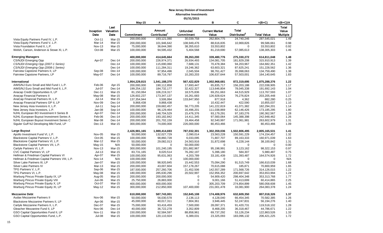|                                                                                      |                     |                    | May-15                     | A                         |                           | в                        | C                        | $=(B+C)$                  | $=(B+C)/A$      |
|--------------------------------------------------------------------------------------|---------------------|--------------------|----------------------------|---------------------------|---------------------------|--------------------------|--------------------------|---------------------------|-----------------|
|                                                                                      |                     | Last               |                            |                           |                           |                          |                          |                           | Total           |
|                                                                                      | Inception Valuation |                    |                            | Amount                    | <b>Unfunded</b>           | <b>Current Market</b>    | <b>Total</b>             |                           | Value           |
|                                                                                      | Date                | Date               | Commitment                 | Contributed <sup>1</sup>  | Commitment                | Value                    | Distributed <sup>2</sup> | <b>Total Value</b>        | <b>Multiple</b> |
| Vista Equity Partners Fund IV, L.P.                                                  | Oct-11              | Mar-15             | 200,000,000                | 193,121,080               | 30,039,758                | 262,804,775              | 24,740,246               | 287,545,021               | 1.49            |
| Vista Equity Partners Fund V, L.P.                                                   | Mar-14              | Mar-15             | 200,000,000                | 101,946,642               | 108,949,476               | 88,616,835               | 10,969,826               | 99,586,661                | 0.98            |
| Vista Foundation Fund II, L.P.                                                       | <b>Nov-13</b>       | <b>Mar-15</b>      | 75,000,000                 | 36,644,390                | 38,355,610                | 33,553,802               | $\Omega$                 | 33,553,802                | 0.92            |
| Welsh, Carson, Anderson & Stowe XI, L.P.                                             | Oct-08              | Mar-15             | 100,000,000                | 94,595,432                | 5,404,568                 | 81,219,690               | 57,085,613               | 138,305,303               | 1.46            |
| <b>Emerging Managers</b>                                                             |                     |                    | 400,000,000                | 414,645,664               | 39,263,200                | 339,480,776              | 275,330,272              | 614,811,048               | 1.48            |
| CS/NJDI Emerging Opp                                                                 | Apr-07              | Dec-14             | 200,000,000                | 226,974,371               | 26,934,493                | 134,081,705              | 181,829,208              | 315,910,913               | 1.39            |
| CS/NJDI Emerging Opp (2007-1 Series)                                                 |                     | Dec-14             | 100,000,000                | 115,690,060               | 7,688,131                 | 70,478,384               | 94,203,967               | 164,682,351               | 1.42            |
| CS/NJDI Emerging Opp (2008-1 Series)                                                 |                     | Dec-14             | 100.000.000                | 111,284,311               | 19,246,362                | 63.603.321               | 87,625,241               | 151,228,562               | 1.36            |
| Fairview Capstone Partners II, LP                                                    | Sep-08              | $Dec-14$           | 100,000,000                | 97,954,496                | 2,045,504                 | 98,761,427               | 35,998,063               | 134,759,490               | 1.38            |
| Fairview Capstone Partners, LP                                                       | May-07              | $Dec-14$           | 100,000,000                | 89,716,797                | 10,283,203                | 106,637,644              | 57,503,001               | 164,140,645               | 1.83            |
| International                                                                        |                     |                    | 1,954,229,815              | 1,541,188,370             | 567,422,829               | 1,002,968,681            | 872,319,695              | 1,875,288,376             | 1.22            |
| AIMS/NJ Euro Small and Mid Fund I, L.P.                                              | Feb-06              | Apr-15             | 200,000,000                | 190,112,858               | 17,693,447                | 65,835,717               | 156,203,188              | 222,038,905               | 1.17            |
| AIMS/NJ Euro Small and Mid Fund II, L.P.                                             | Jul-07              | $Dec-14$           | 199,254,132                | 184,732,177               | 32,422,327                | 113,646,804              | 78,045,338               | 191,692,143               | 1.04            |
| Anacap Credit Opportunities II, LP                                                   | Dec-11              | Mar-15             | 81,150,064                 | 106,219,317               | 18,575,836                | 69,251,663               | 44,515,929               | 113,767,593               | 1.07            |
| Anacap Financial Partners II                                                         | May-08              | Mar-15             | 126,602,237                | 173,347,137               | 16,261,683                | 126,928,624              | 76,276,824               | 203,205,448               | 1.17            |
| AnaCap Financial Partners III, L.P.                                                  | $Jul-14$            | Mar-15             | 137,354,944                | 3,506,994                 | 133,847,950               | 877,918                  | 4,362                    | 882,280                   | 0.25            |
| Anacap Financial Partners GP II, LP                                                  | Nov-09              | $Dec-14$           | 9,868,438                  | 9,868,438                 | $\mathbf 0$               | 10,432,447               | 422,590                  | 10,855,037                | 1.10            |
| New Jersey Asia Investors II, L.P.                                                   | $Jul-11$            | Sep-14             | 200,000,000                | 159,682,457               | 56,773,205                | 141,222,819              | 41,071,382               | 182,294,201               | 1.14            |
| New Jersey Asia Investors, L.P.                                                      | Jan-08              | Sep-14             | 100,000,000                | 96,129,464                | 16,496,201                | 111,038,869              | 62,146,426               | 173,185,295               | 1.80            |
| NJHL European BO Investment II Series B                                              | Apr-07<br>Feb-06    | $Dec-14$<br>Dec-14 | 200,000,000                | 148,704,529               | 15,476,376                | 93,179,291               | 97,183,276               | 190,362,567               | 1.28            |
| NJHL European Buyout Investment Series A<br>NJHL European Buyout Investment Series C | Mar-08              | $Dec-14$           | 200,000,000                | 193,182,842               | 14,411,345                | 97,560,064               | 145,388,398              | 242,948,462               | 1.26            |
| Siguler Guff NJ Developing Mkt Fund, LP                                              | Dec-13              | Mar-15             | 200,000,000<br>300,000,000 | 201,702,159<br>74,000,000 | 19,464,458<br>226,000,000 | 92,540,997<br>80,453,466 | 171,061,981<br>$\Omega$  | 263,602,979<br>80,453,466 | 1.31<br>1.09    |
| <b>Large Buyout</b>                                                                  |                     |                    | 2,426,981,165              | 1,989,414,693             | 787,032,301               | 1,302,359,036            | 1,502,806,495            | 2,805,165,531             | 1.41            |
| Apollo Investment Fund VI, L.P.                                                      | Nov-05              | Mar-15             | 50,000,000                 | 132,027,729               | 2,090,014                 | 23,563,228               | 150,591,229              | 174,154,457               | 1.32            |
| Blackstone Capital Partners V, L.P.                                                  | Oct-05              | Mar-15             | 100,000,000                | 98,860,728                | 6,033,095                 | 71,807,707               | 89,163,333               | 160,971,039               | 1.63            |
| Blackstone Capital Partners VI, L.P.                                                 | Mar-12              | Mar-15             | 50,000,000                 | 29,082,013                | 24,563,916                | 31,872,698               | 6,228,144                | 38,100,842                | 1.31            |
| Blackstone Capital Partners VII, L.P.                                                | May-15              | N/A                | 50,000,000                 | $\mathbf 0$               | 50,000,000                | $\Omega$                 | $\mathbf 0$              | $\Omega$                  | 0.00            |
| Carlyle Partners VI, L.P.                                                            | <b>Nov-13</b>       | Mar-15             | 300,000,000                | 101,240,195               | 201,882,967               | 95,198,991               | 3,123,162                | 98,322,153                | 0.97            |
| CVC Capital Partners VI, LP                                                          | $Jul-13$            | Mar-15             | 83,731,165                 | 8,020,514                 | 76,282,197                | 5,396,180                | 584,307                  | 5,980,487                 | 0.75            |
| Hellman & Friedman Capital Partners VI                                               | Apr-07              | Mar-15             | 100,000,000                | 95,631,063                | 4,203,789                 | 33,181,439               | 131,393,487              | 164,574,926               | 1.72            |
| Hellman & Friedman Capital Partners VIII, L.P.                                       | <b>Nov-14</b>       | N/A                | 100,000,000                | 0                         | 100,000,000               | 0                        | 0                        | $\mathbf 0$               | N/A             |
| Silver Lake Partners III. LP                                                         | Jan-07              | Mar-15             | 100,000,000                | 98,920,845                | 15,442,553                | 75,094,290               | 91,515,749               | 166,610,039               | 1.68            |
| Silver Lake Partners IV                                                              | Mar-13              | <b>Mar-15</b>      | 200,000,000                | 43,007,604                | 157, 178, 267             | 70,615,088               | 185,871                  | 70,800,959                | 1.65            |
| TPG Partners V, L.P.                                                                 | Sep-06              | <b>Mar-15</b>      | 187,500,000                | 257,260,706               | 21,452,506                | 142,557,289              | 171,568,726              | 314,126,015               | 1.22            |
| TPG Partners VI, L.P.                                                                | May-08              | <b>Mar-15</b>      | 180,000,000                | 285,630,296               | 20,502,997                | 152,956,352              | 200,697,642              | 353,653,994               | 1.24            |
| Warburg Pincus Private Equity IX, LP                                                 | Aug-05              | Mar-15             | 200,000,000                | 200,000,000               | $\mathbf 0$               | 54,909,420               | 298,404,348              | 353,313,768               | 1.77            |
| Warburg Pincus Private Equity VIII                                                   | Jun-06              | Mar-15             | 25,750,000                 | 26,883,000                | $\mathbf 0$               | 9,001,166                | 51,413,699               | 60,414,865                | 2.25            |
| Warburg Pincus Private Equity X, LP                                                  | Oct-07              | <b>Mar-15</b>      | 400,000,000                | 400,000,000               | $\mathbf 0$               | 305,203,709              | 274,854,899              | 580,058,608               | 1.45            |
| Warburg Pincus Private Equity XI, LP                                                 | May-12              | Mar-15             | 300,000,000                | 212,850,000               | 107,400,000               | 231,001,478              | 33,081,900               | 264,083,378               | 1.24            |
| <b>Mezzanine Debt</b>                                                                |                     |                    | 610,000,000                | 587,743,001               | 152.845.108               | 174,408,976              | 632.609.350              | 807,018,326               | 1.37            |
| Audax Mezzanine Partners II                                                          | Nov-06              | Mar-15             | 50,000,000                 | 56,030,578                | 2,136,113                 | 4,128,040                | 66,454,345               | 70,582,385                | 1.26            |
| Blackstone Mezzanine Partners II, LP                                                 | Apr-06              | Mar-15             | 45,000,000                 | 40,017,311                | 7,804,361                 | 3,946,445                | 52,247,831               | 56,194,276                | 1.40            |
| Carlyle Mezzanine Partners II, L.P.                                                  | Dec-07              | <b>Mar-15</b>      | 75,000,000                 | 93,416,459                | 7,500,000                 | 28,097,371               | 91,420,731               | 119,518,102               | 1.28            |
| Gleacher Mezzanine Fund II, LP                                                       | Nov-06              | $Dec-14$           | 40,000,000                 | 36,722,278                | 3,352,809                 | 8,468,205                | 36,318,467               | 44,786,671                | 1.22            |
| GSO Capital Opportunities Fund II, LP                                                | <b>Nov-11</b>       | Mar-15             | 150,000,000                | 92,584,597                | 88,858,961                | 69,737,292               | 53,126,234               | 122,863,526               | 1.33            |
| GSO Capital Opportunities Fund, L.P.                                                 | <b>Jul-08</b>       | Mar-15             | 100,000,000                | 120,110,924               | 6,389,031                 | 23,325,093               | 183,096,132              | 206, 421, 225             | 1.72            |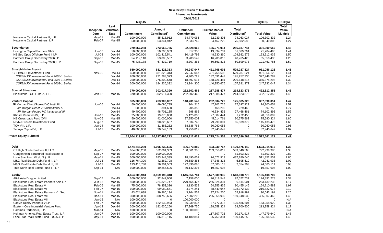|                                         |               |               | May-15         | A                        |                 | B                     | C                        | $=(B+C)$           | $=(B+C)/A$      |
|-----------------------------------------|---------------|---------------|----------------|--------------------------|-----------------|-----------------------|--------------------------|--------------------|-----------------|
|                                         |               | Last          |                |                          |                 |                       |                          |                    | Total           |
|                                         | Inception     | Valuation     |                | Amount                   | <b>Unfunded</b> | <b>Current Market</b> | Total                    |                    | Value           |
|                                         | Date          | Date          | Commitment     | Contributed <sup>1</sup> | Commitment      | Value                 | Distributed <sup>2</sup> | <b>Total Value</b> | <b>Multiple</b> |
| Newstone Capital Partners II, L.P.      | May-11        | <b>Mar-15</b> | 100,000,000    | 85,518,912               | 34,770,065      | 32,239,305            | 74,063,027               | 106,302,332        | 1.24            |
| Newstone Capital Partners, L.P.         | Feb-07        | Mar-15        | 50,000,000     | 63,341,942               | 2,033,769       | 4,467,225             | 75,882,583               | 80,349,808         | 1.27            |
| <b>Secondaries</b>                      |               |               | 279,557,288    | 273,666,735              | 22,828,065      | 135,271,914           | 256,037,744              | 391,309,659        | 1.43            |
| Lexington Capital Partners VI-B         | Jun-06        | Dec-14        | 50,000,000     | 50,705,969               | 817,356         | 19,894,731            | 51,389,764               | 71,284,495         | 1.41            |
| NB Sec Opps Offshore Fund II LP         | Jul-08        | Dec-14        | 100,000,000    | 102,419,541              | 10,419,798      | 48,530,360            | 104,982,579              | 153,512,939        | 1.50            |
| Partners Group Secondary 2006 LP        | Sep-06        | Mar-15        | 54,119,110     | 53,008,507               | 3,283,549       | 16,285,010            | 48,765,428               | 65,050,438         | 1.23            |
| Partners Group Secondary 2008, L.P.     | Sep-08        | Mar-15        | 75,438,178     | 67,532,719               | 8,307,363       | 50,561,813            | 50,899,973               | 101,461,786        | 1.50            |
| <b>Small/Midsize Buyout</b>             |               |               | 650,000,000    | 681,828,313              | 76,947,047      | 431,768,603           | 529,287,524              | 961,056,126        | 1.41            |
| <b>CSFB/NJDI Investment Fund</b>        | Nov-05        | Dec-14        | 650,000,000    | 681,828,313              | 76,947,047      | 431,768,603           | 529,287,524              | 961,056,126        | 1.41            |
| CSFB/NJDI Investment Fund 2005-1 Series |               | Dec-14        | 200,000,000    | 221,283,373              | 4,405,727       | 132,691,447           | 195,257,335              | 327,948,782        | 1.48            |
| CSFB/NJDI Investment Fund 2006-1 Series |               | Dec-14        | 250,000,000    | 276,309,548              | 18,597,014      | 158,726,481           | 226,648,817              | 385,375,298        | 1.39            |
| CSFB/NJDI Investment Fund 2008-1 Series |               | Dec-14        | 200,000,000    | 184,235,392              | 53,944,306      | 140,350,675           | 107,381,372              | 247,732,047        | 1.34            |
| <b>Special Situations</b>               |               |               | 370,000,000    | 302,017,390              | 282,602,462     | 217,988,477           | 214,823,878              | 432,812,355        | 1.43            |
| Blackstone TOP Fund-A, L.P.             | $Jan-12$      | Mar-15        | 370,000,000    | 302,017,390              | 282,602,462     | 217,988,477           | 214,823,878              | 432,812,355        | 1.43            |
|                                         |               |               |                |                          |                 |                       |                          |                    |                 |
| <b>Venture Capital</b>                  |               |               | 365,000,000    | 263,909,867              | 148,201,542     | 262,004,726           | 125,385,325              | 387,390,051        | 1.47            |
| JP Morgan Direct/Pooled VC Instit III   | Jun-06        | Dec-14        | 50,000,000     | 49,095,785               | 904,215         | 47,102,725            | 27,697,929               | 74,800,654         | 1.52            |
| JP Morgan Direct VC Institutional III   |               | Dec-14        | 600,000        | 394,650                  | 205,350         | 468,290               | 229,468                  | 697,758            | 1.77            |
| JP Morgan Pooled VC Institutional III   |               | Dec-14        | 49,400,000     | 48,701,135               | 698,865         | 46,634,435            | 27,468,461               | 74,102,896         | 1.52            |
| Khosla Venutres IV, L.P.                | Jan-12        | <b>Mar-15</b> | 25,000,000     | 19,875,000               | 5,125,000       | 27,587,444            | 1,272,455                | 28,859,899         | 1.45            |
| NB Crossroads Fund XVIII                | Nov-06        | Mar-15        | 50,000,000     | 42,000,000               | 27,250,002      | 45,014,761            | 30,575,562               | 75,590,324         | 1.80            |
| NB/NJ Custom Investment Fund            | Aug-07        | Mar-15        | 100,000,000    | 90,826,667               | 37,034,740      | 79,299,091            | 65,839,379               | 145,138,470        | 1.60            |
| TCV VIII, L.P.                          | Jan-14        | Mar-15        | 100,000,000    | 31,363,232               | 68,636,768      | 30,060,058            | 0                        | 30,060,058         | 0.96            |
| Tenaya Capital VI, L.P.                 | Jul-12        | Mar-15        | 40,000,000     | 30,749,183               | 9,250,817       | 32,940,647            | 0                        | 32,940,647         | 1.07            |
| Private Equity Subtotal                 |               |               | 12,604,119,811 | 10,297,496,273           | 3,858,812,623   | 7,215,024,358         | 7,307,536,763            | 14,522,561,121     | 1.41            |
|                                         |               |               |                |                          |                 |                       |                          |                    |                 |
| Debt                                    |               |               | 1,474,246,230  | 1,095,230,605            | 406,373,880     | 403,039,767           | 1,120,875,149            | 1,523,914,916      | 1.39            |
| CT High Grade Partners II, LLC          | May-08        | Mar-15        | 664,065,200    | 572,861,303              | 108,661,385     | 203,658,812           | 589,340,568              | 792,999,380        | 1.38            |
| Guggenheim Structured Real Estate III   | Sep-07        | Mar-15        | 100,000,000    | 100,000,000              | $\mathbf 0$     | $\mathbf 0$           | 81,603,322               | 81,603,322         | 0.82            |
| Lone Star Fund VII (U.S.) LP            | May-11        | Mar-15        | 300,000,000    | 283,944,335              | 18,490,651      | 74,571,913            | 437,280,646              | 511,852,559        | 1.80            |
| M&G Real Estate Debt Fund II, LP        | $Jul-13$      | Mar-15        | 116,764,300    | 42,262,798               | 76,689,366      | 37,346,318            | 5,595,619                | 42,941,938         | 1.02            |
| M&G Real Estate Debt Fund III, LP       | $Jul-13$      | Mar-15        | 193,416,730    | 76,304,563               | 122,390,085     | 67,605,118            | 7,054,993                | 74,660,111         | 0.98            |
| True North Real Estate Fund III, LP     | Sep-14        | N/A           | 100,000,000    | 19,857,606               | 80,142,394      | 19,857,606            | $\mathbf 0$              | 19,857,606         | 1.00            |
| <b>Equity</b>                           |               |               | 4,454,308,943  | 3,169,196,348            | 1,646,854,784   | 2,577,589,935         | 1,618,818,775            | 4,196,408,709      | 1.32            |
| ARA Asia Dragon Limited                 | Sep-07        | Mar-15        | 100,000,000    | 92,842,000               | 7,158,000       | 26,818,547            | 97,572,731               | 124,391,278        | 1.34            |
| Blackstone Real Estate Partners Asia LP | $Jun-13$      | Mar-15        | 500,000,000    | 224,326,747              | 279,455,427     | 256,324,331           | 6,814,901                | 263,139,232        | 1.17            |
| Blackstone Real Estate V                | Feb-06        | Mar-15        | 75,000,000     | 78,353,336               | 3,130,539       | 64,255,435            | 90,455,146               | 154,710,582        | 1.97            |
| <b>Blackstone Real Estate VI</b>        | Feb-07        | Mar-15        | 100,000,000    | 99,080,641               | 4,774,241       | 88,449,947            | 128,372,132              | 216,822,078        | 2.19            |
| Blackstone Real Estate Partners VI, Sec | <b>Nov-11</b> | Mar-15        | 43,624,688     | 39,860,134               | 3,764,554       | 37,124,200            | 52,918,991               | 90,043,191         | 2.26            |
| <b>Blackstone Real Estate VII</b>       | Dec-11        | Mar-15        | 300,000,000    | 308,758,606              | 77,602,298      | 295,858,930           | 159,948,532              | 455,807,462        | 1.48            |
| <b>Blackstone Real Estate VIII</b>      | Jan-15        | N/A           | 100,000,000    | 0                        | 100,000,000     | 0                     | 0                        | 0                  | N/A             |
| Carlyle Realty Partners V LP            | Feb-07        | Mar-15        | 100,000,000    | 122,639,933              | 36,939,837      | 37,772,316            | 125,486,604              | 163,258,920        | 1.33            |
| Exeter - Core Industrial Venture Fund   | Apr-12        | Dec-14        | 200,000,000    | 182,630,250              | 17,369,750      | 188,658,324           | 24,700,500               | 213,358,824        | 1.17            |
| Hammes Partners II, L.P.                | Mar-14        | N/A           | 100,000,000    | 0                        | 100,000,000     | 0                     | 0                        | 0                  | N/A             |
| Heitman America Real Estate Trust, L.P. | Jan-07        | Dec-14        | 100,000,000    | 100,000,000              | 0               | 117,807,723           | 30,171,917               | 147,979,640        | 1.48            |
| Lone Star Real Estate Fund II (U.S.) LP | May-11        | Mar-15        | 100,000,000    | 86,819,116               | 13,180,884      | 26,759,384            | 100,145,255              | 126,904,639        | 1.46            |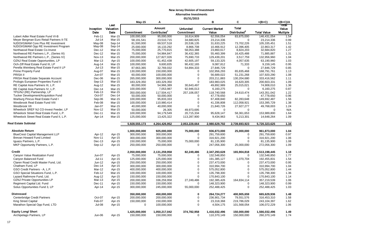|                                                              |                    |                   | <b>May-15</b>                | Α                            |                            | B                            | С                          | $=(B+C)$                     | $=(B+C)/A$               |
|--------------------------------------------------------------|--------------------|-------------------|------------------------------|------------------------------|----------------------------|------------------------------|----------------------------|------------------------------|--------------------------|
|                                                              |                    | Last              |                              | <b>Amount</b>                | <b>Unfunded</b>            | <b>Current Market</b>        | <b>Total</b>               |                              | τοιar                    |
|                                                              | Inception<br>Date  | Valuation<br>Date | Commitment                   | Contributed <sup>1</sup>     | Commitment                 | Value                        | Distributed <sup>2</sup>   | <b>Total Value</b>           | Value<br><b>Multiple</b> |
| Lubert Adler Real Estate Fund VI-B                           | Feb-11             | Mar-15            | 100.000.000                  | 95.000.000                   | 16.614.909                 | 62.556.054                   | 83,875,000                 | 146.431.054                  | 1.54                     |
| Meyer Bergman Euro Retail Partners II-TE                     | Jul-14             | Mar-15            | 58,191,541                   | 23,510,715                   | 34,680,825                 | 23,214,336                   | $\Omega$                   | 23,214,336                   | 0.99                     |
| NJDOI/GMAM Core Plus RE Investment                           | May-08             | Sep-14            | 81,500,000                   | 69,537,518                   | 20,536,135                 | 31,633,225                   | 73,702,226                 | 105,335,451                  | 1.51                     |
| NJDOI/GMAM Opp RE Investment Program                         | May-08             | Sep-14            | 25.000.000                   | 16.133.292                   | 8.866.708                  | 10.466.912                   | 12.396.405                 | 22.863.317                   | 1.42                     |
| Northwood Real Estate Co-Invest                              | Dec-12             | Mar-15            | 75,000,000                   | 25,770,815                   | 58,053,388                 | 23,860,617                   | 8,824,203                  | 32,684,820                   | 1.27                     |
| Northwood RE Partners L.P., (Series III)                     | Dec-12             | Mar-15            | 75,000,000                   | 54,984,847                   | 36,432,365                 | 55,460,399                   | 16,425,488                 | 71,885,887                   | 1.31                     |
| Northwood RE Partners L.P., (Series IV)                      | <b>Nov-13</b>      | Mar-15            | 200,000,000                  | 127,827,026                  | 75,690,733                 | 129,439,201                  | 3,517,759                  | 132,956,960                  | 1.04                     |
| OZNJ Real Estate Opportunities, LP                           | <b>Mar-13</b>      | Apr-15            | 100,000,000                  | 61,452,438                   | 42,605,197                 | 59,133,325                   | 4,057,635                  | 63,190,960                   | 1.03                     |
| Och-Ziff Real Estate Fund III, LP                            | Aug-14             | Mar-15            | 100,000,000                  | 9,600,835                    | 90,432,165                 | 9,087,812                    | 71,333                     | 9,159,145                    | 0.95                     |
| Perella Weinberg Real Estate Fund II LP                      | $Jul-13$           | Mar-15            | 87,663,365                   | 32,769,032                   | 54,894,333                 | 27,846,729                   | $\Omega$                   | 27.846.729                   | 0.85                     |
| Prime Property Fund                                          | Aug-07             | Mar-15            | 130,000,000                  | 150,000,000                  | 0                          | 102,956,293                  | 65,835,468                 | 168,791,761                  | 1.13                     |
| PRISA II                                                     | Jun-07             | Mar-15            | 60,000,000                   | 100,000,000                  | $\mathbf 0$                | 56,689,022                   | 51,231,268                 | 107,920,290                  | 1.08                     |
| PRISA Real Estate Separate Account                           | Dec-06             | Mar-15            | 265,000,000                  | 300,000,000                  | $\Omega$                   | 203,211,883                  | 130,204,680                | 333,416,562                  | 1.11                     |
| Prologis European Properties Fund II                         | $Sep-13$           | Mar-15            | 183,329,350                  | 183,329,350                  | $\mathbf 0$                | 183,983,025                  | 16,620,305                 | 200,603,331                  | 1.09                     |
| RE Capital Asia Partners III, L.P.                           | Aug-12             | Mar-15            | 80,000,000                   | 54,966,389                   | 30,643,497                 | 49,892,989                   | 25,015,021                 | 74,908,010                   | 1.36                     |
| RE Capital Asia Partners IV, L.P.                            | Dec-14             | Mar-15            | 100,000,000                  | 7,053,987                    | 92,946,013                 | 6,160,275                    | $\mathbf 0$                | 6,160,275                    | 0.87                     |
| TPG/NJ (RE) Partnership, LP                                  | Feb-13             | Mar-15            | 350.000.000                  | 117.504.417                  | 257.106.057                | 118.740.568                  | 24.610.474                 | 143.351.042                  | 1.22                     |
| Tucker Development/Acquisition Fund                          | Oct-07             | $Dec-14$          | 50,000,000                   | 50,000,000                   | $\Omega$                   | 47,778,650                   | $\Omega$                   | 47,778,650                   | 0.96                     |
| Warburg Pincus Real Estate Fund I                            | Sep-06             | <b>Mar-15</b>     | 100,000,000                  | 95,833,333                   | $\mathbf 0$                | 67,408,840                   | 82,283,648                 | 149,692,487                  | 1.56                     |
| Westbrook Real Estate Fund VIII                              | Feb-08             | Mar-15            | 100,000,000                  | 110,980,414                  | $\mathbf 0$                | 41,336,808                   | 112,058,921                | 153,395,729                  | 1.38                     |
| Westbrook VII                                                | Jan-07             | Mar-15            | 40,000,000                   | 40,000,000                   | $\Omega$                   | 21,840,726                   | 27,927,277                 | 49,768,003                   | 1.24                     |
| Wheelock SREF NJ CO-Invest Feeder, LP                        | <b>Nov-12</b>      | Mar-15            | 50,000,000                   | 26,305                       | 49,973,695                 | $\mathbf 0$                  | 0                          | $\mathbf 0$                  | N/A                      |
| Wheelock Street Real Estate Fund, L.P.                       | Dec-11             | Mar-15            | 100.000.000                  | 94.179.549                   | 20,715,334                 | 95.628.147                   | 58,361,653                 | 153,989,800                  | 1.64                     |
| Wheelock Street Real Estate Fund II, L.P.                    | Apr-14             | Mar-15            | 125,000,000                  | 13,425,322                   | 113,287,900                | 9,434,963                    | 5,213,301                  | 14,648,264                   | 1.09                     |
|                                                              |                    |                   |                              |                              |                            |                              |                            |                              |                          |
|                                                              |                    |                   | 5,928,555,173                | 4,264,426,952                | 2,053,228,664              | 2,980,629,702                | 2,739,693,923              | 5,720,323,625                | 1.34                     |
| <b>Real Estate Subtotal</b>                                  |                    |                   |                              |                              |                            |                              |                            |                              |                          |
| <b>Absolute Return</b>                                       |                    |                   | 1,000,000,000                | 925,000,000                  | 75,000,000                 | 936,873,000                  | 25,000,000                 | 961,873,000                  | 1.04                     |
| <b>BlueCrest Capital Management LLP</b>                      | Apr-12             | Apr-15            | 300,000,000                  | 300,000,000                  | $\Omega$                   | 291,759,600                  | $\mathbf 0$                | 291,759,600                  | 0.97                     |
| Brevan Howard Fund Limited                                   | <b>Nov-11</b>      | Apr-15            | 300,000,000                  | 300,000,000                  | $\mathbf 0$                | 316,921,200                  | $\mathbf 0$<br>$\Omega$    | 316,921,200                  | 1.06                     |
| Iquazu Partners, L.P.<br>MKP Opportunity Partners, L.P.      | $Dec-13$<br>Sep-12 | Apr-15<br>Apr-15  | 150,000,000<br>250,000,000   | 75,000,000<br>250,000,000    | 75,000,000<br>$\mathbf 0$  | 81,135,900<br>247,056,300    | 25,000,000                 | 81,135,900<br>272,056,300    | 1.08<br>1.09             |
|                                                              |                    |                   |                              |                              |                            |                              |                            |                              |                          |
| <b>Credit</b>                                                |                    |                   | 2,050,000,000                | 2,131,259,958                | 82,249,486                 | 2,347,293,628                | 165,904,818                | 2,513,198,445                | 1.18                     |
| Canyon Value Realization Fund                                | Jun-07             | Apr-15            | 75,000,000                   | 75,000,000                   | $\mathbf 0$                | 132,548,850                  | $\mathbf 0$                | 132,548,850                  | 1.77                     |
| Canvon Balanced Fund                                         | $Jul-11$           | Apr-15            | 125,000,000                  | 125,000,000                  | $\mathbf 0$                | 191,385,127                  | 1,070,704                  | 192,455,831                  | 1.54                     |
| Claren Road Credit Master Fund, Ltd.                         | $Jun-12$           | Apr-15            | 250,000,000                  | 250,000,000                  | $\mathbf 0$                | 237,473,000                  | $\Omega$                   | 237,473,000                  | 0.95                     |
| Chatham Fund, LP                                             | Dec-14             | Apr-15            | 300,000,000                  | 300,000,000                  | $\mathbf 0$                | 310,994,700                  | $\mathbf 0$                | 310,994,700                  | 1.04                     |
| GSO Credit Partners - A. L.P.                                | Mar-12             | Apr-15            | 400,000,000                  | 400,000,000                  | $\mathbf 0$                | 575,052,800                  | $\Omega$                   | 575,052,800                  | 1.44                     |
| GSO Special Situations Fund, L.P.                            | Feb-12             | Mar-15            | 100,000,000                  | 100,000,000                  | $\mathbf 0$                | 135,798,300                  | $\overline{0}$             | 135,798,300                  | 1.36                     |
| Lazard Rathmore Fund, Ltd.                                   | Aug-12             | Apr-15            | 150,000,000                  | 150,000,000                  | $\mathbf 0$                | 170,843,100                  | 0                          | 170,843,100                  | 1.14                     |
| <b>OZNJ Private Opportunities LP</b>                         | Mar-13             | Apr-15            | 200,000,000                  | 336,259,958                  | 27,249,486                 | 192,385,426                  | 164,834,114                | 357,219,539                  | 1.06                     |
| Regiment Capital Ltd. Fund<br>Solus Opportunities Fund 3, LP | Dec-11<br>Apr-14   | Apr-15<br>Apr-15  | 150,000,000<br>300,000,000   | 150,000,000<br>245,000,000   | $\mathbf 0$<br>55,000,000  | 148,323,900<br>252,488,425   | $\mathbf 0$<br>$\Omega$    | 148,323,900<br>252,488,425   | 0.99<br>1.03             |
|                                                              |                    |                   |                              |                              |                            |                              |                            |                              |                          |
| <b>Distressed</b>                                            |                    |                   | 350,000,000                  | 450,000,000                  | $\bf{0}$                   | 264,724,277                  | 400,905,659                | 665,629,936                  | 1.48                     |
| Centerbridge Credit Partners                                 | Oct-07             | Apr-15            | 200,000,000                  | 200,000,000                  | $\mathbf 0$                | 236,901,734                  | 79,551,576                 | 316,453,310                  | 1.58                     |
| King Street Capital                                          | Feb-07             | Apr-15            | 150,000,000                  | 150,000,000                  | $\mathbf 0$                | 23,318,368                   | 219,786,029                | 243,104,397                  | 1.62                     |
| Marathon Special Opp Fund, LTD                               | <b>Jul-08</b>      | Apr-15            | $\mathbf 0$                  | 100,000,000                  | $\mathbf 0$                | 4,504,175                    | 101,568,054                | 106,072,229                  | 1.06                     |
| <b>Equity Long/ Short</b><br>Archipelago Partners, LP        | Jun-06             | Apr-15            | 1,425,000,000<br>150,000,000 | 1,050,217,042<br>150,000,000 | 374,782,958<br>$\mathbf 0$ | 1.416.032.496<br>110,370,149 | 150.000.000<br>150,000,000 | 1,566,032,496<br>260,370,149 | 1.49<br>1.74             |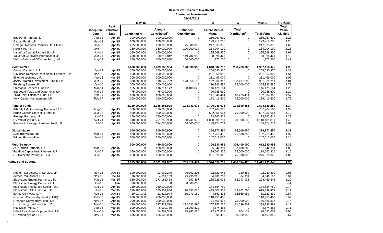|                                                                           |                    |                   | <b>May-15</b>              | A                         |                               | B                              | C                        | $=(B+C)$           | $=(B+C)/A$               |
|---------------------------------------------------------------------------|--------------------|-------------------|----------------------------|---------------------------|-------------------------------|--------------------------------|--------------------------|--------------------|--------------------------|
|                                                                           |                    | Last              |                            | Amount                    |                               |                                | <b>Total</b>             |                    | Total                    |
|                                                                           | Inception<br>Date  | Valuation<br>Date | Commitment                 | Contributed <sup>1</sup>  | <b>Unfunded</b><br>Commitment | <b>Current Market</b><br>Value | Distributed <sup>2</sup> | <b>Total Value</b> | Value<br><b>Multiple</b> |
| Bay Pond Partners, L.P.                                                   | Apr-12             | Apr-15            | 200,000,000                | 200,000,000               | $\overline{0}$                | 256,267,600                    | $\overline{0}$           | 256,267,600        | 1.28                     |
| Cadian Fund, L.P.                                                         | $May-12$           | Apr-15            | 100,000,000                | 100,000,000               | $\mathbf 0$                   | 123,219,200                    | 0                        | 123,219,200        | 1.23                     |
| Omega Overseas Partners Ltd. Class-B                                      | Jan-07             | Apr-15            | 225,000,000                | 150,000,000               | 75,000,000                    | 247,633,350                    | $\mathbf 0$              | 247,633,350        | 1.65                     |
| Scopia PX, LLC                                                            | $Jan-13$           |                   | 250,000,000                | 150,000,000               | 100,000,000                   | 184,004,100                    | $\mathbf 0$              | 184,004,100        | 1.23                     |
| ValueAct Capital Partners II, L.P.                                        | <b>Nov-11</b>      | Apr-15            | 150,000,000                |                           | $\Omega$                      |                                | $\mathbf 0$              |                    |                          |
|                                                                           |                    | Apr-15            |                            | 150,000,000               |                               | 295,068,450                    | $\mathbf 0$              | 295,068,450        | 1.97                     |
| ValueAct Co-Invest International LP<br>Visium Balanced Offshore Fund, Ltd | $Jun-13$<br>Aug-12 | Apr-15<br>Apr-15  | 200,000,000<br>150,000,000 | 50,217,042<br>100,000,000 | 149,782,958                   | 58,096,447                     | $\Omega$                 | 58,096,447         | 1.16<br>1.41             |
|                                                                           |                    |                   |                            |                           | 50,000,000                    | 141,373,200                    |                          | 141,373,200        |                          |
| <b>Event Driven</b>                                                       |                    |                   | 1,400,000,000              | 1,409,958,934             | 128,538,958                   | 1,648,382,712                  | 258,733,366              | 1,907,116,078      | 1.35                     |
| Cevian Capital II, L.P.                                                   | Apr-12             | Apr-15            | 150,000,000                | 150,000,000               | $\mathbf 0$                   | 208,690,950                    | $\mathbf 0$              | 208,690,950        | 1.39                     |
| Davidson Kempner Institutional Partners, L.P                              | Dec-06             | Apr-15            | 150,000,000                | 150,000,000               | $\Omega$                      | 231,354,000                    | $\mathbf 0$              | 231,354,000        | 1.54                     |
| Elliott Associates, L.P.                                                  | Apr-12             | Mar-15            | 200,000,000                | 200,000,000               | $\mathbf 0$                   | 211,466,000                    | $\mathbf 0$              | 211,466,000        | 1.06                     |
| JANA Strategic Investment Fund II, LP                                     | $Jun-13$           | Apr-15            | 300,000,000                | 318, 147, 762             | 120,350,130                   | 192,862,319                    | 138,497,892              | 331,360,211        | 1.04                     |
| Pershing Square LP                                                        | Apr-10             | Apr-15            | 200,000,000                | 200,000,000               | $\mathbf 0$                   | 270,983,585                    | 85,000,000               | 355,983,585        | 1.78                     |
| Starboard Leaders Fund LP                                                 | Mar-14             | Apr-15            | 125,000,000                | 116,811,172               | 8,188,828                     | 146,471,164                    | $\mathbf 0$              | 146,471,164        | 1.25                     |
| Starboard Value and Opportunity LP                                        | Mar-14             | Apr-15            | 75,000,000                 | 75,000,000                | $\pmb{0}$                     | 90,288,600                     | $\mathbf 0$              | 90,288,600         | 1.20                     |
| Third Point Offshore Fund, LTD.                                           | Apr-11             | Apr-15            | 100,000,000                | 100,000,000               | $\mathbf 0$                   | 141,849,494                    | 10,235,474               | 152,084,968        | 1.52                     |
| York Capital Management, LP                                               | Feb-07             | Apr-15            | 100,000,000                | 100,000,000               | $\mathbf 0$                   | 154,416,600                    | 25,000,000               | 179,416,600        | 1.79                     |
| <b>Fund of Funds</b>                                                      |                    |                   | 2,210,000,000              | 2,085,258,928             | 124,741,072                   | 2,700,049,673                  | 104,590,586              | 2,804,640,259      | 1.34                     |
| AIMS/NJ Multi-Strategy Portfolio, LLC                                     | Aug-06             | Apr-15            | 550,000,000                | 550,000,000               | $\mathbf 0$                   | 757,764,560                    | $\mathbf 0$              | 757,764,560        | 1.38                     |
| Arden Garden State NJ Fund LP.                                            | Jun-06             | Apr-15            | 500,000,000                | 500,000,000               | $\mathbf 0$                   | 522,056,654                    | 75,000,000               | 597,056,654        | 1.19                     |
| Protege Partners, LP                                                      | <b>Jun-07</b>      | Apr-15            | 150,000,000                | 150,000,000               | $\mathbf 0$                   | 193,862,514                    | $\Omega$                 | 193,862,514        | 1.29                     |
| RC Woodley Park, LP                                                       | Aug-06             | Mar-15            | 810,000,000                | 751,258,928               | 58,741,072                    | 1,080,591,231                  | 29,590,586               | 1,110,181,817      | 1.48                     |
| Reservoir Strategic Partners Fund, LP                                     | $Jul-11$           | Apr-15            | 200,000,000                | 134,000,000               | 66,000,000                    | 145,774,714                    | $\mathbf 0$              | 145,774,714        | 1.09                     |
| <b>Global Macro</b>                                                       |                    |                   | 300,000,000                | 300,000,000               | 0                             | 354,772,450                    | 25,000,000               | 379,772,450        | 1.27                     |
| Lynx (Bermuda) Ltd.                                                       | Mar-11             | Apr-15            | 100,000,000                | 100,000,000               | $\mathbf 0$                   | 107,259,450                    | 25,000,000               | 132,259,450        | 1.32                     |
| Winton Futures Fund                                                       | $Jan-11$           | Apr-15            | 200,000,000                | 200,000,000               | $\mathbf 0$                   | 247,513,000                    | $\mathbf 0$              | 247,513,000        | 1.24                     |
| <b>Multi-Strategy</b>                                                     |                    |                   | 300,000,000                | 450,000,000               | 0                             | 306,530,981                    | 306,400,000              | 612.930.981        | 1.36                     |
| AG Garden Partners, LP                                                    | Mar-06             | Apr-15            | $\mathbf 0$                | 150,000,000               | $\mathbf 0$                   | 5,542,331                      | 156,400,000              | 161,942,331        | 1.08                     |
| Farallon Capital Inst. Partners, L.P.                                     | Jun-07             | Apr-15            | 150,000,000                | 150,000,000               | $\pmb{0}$                     | 99,062,325                     | 75,000,000               | 174,062,325        | 1.16                     |
| OZ Domestic Partners II, Ltd.                                             | Jun-06             | Apr-15            | 150,000,000                | 150,000,000               | $\mathbf 0$                   | 201,926,325                    | 75,000,000               | 276,926,325        | 1.85                     |
| <b>Hedge Fund Subtotal</b>                                                |                    |                   |                            |                           |                               |                                |                          |                    |                          |
|                                                                           |                    |                   | 9,035,000,000              | 8,801,694,862             | 785,312,474                   | 9,974,659,217                  | 1,436,534,428            | 11,411,193,646     | 1.30                     |
|                                                                           |                    |                   |                            |                           |                               |                                |                          |                    |                          |
| Aether Real Assets III Surplus, LP                                        | <b>Nov-13</b>      | Dec-14            | 100,000,000                | 23,909,246                | 76,301,206                    | 22,729,948                     | 210,452                  | 22,940,400         | 0.96                     |
| Aether Real Assets III, LP                                                | <b>Nov-13</b>      | Dec-14            | 30,000,000                 | 4,834,103                 | 25,230,228                    | 4,481,769                      | 64,331                   | 4,546,100          | 0.94                     |
| Blackstone Energy Partners, L.P.                                          | Mar-12             | Mar-15            | 150,000,000                | 173,188,428               | 993,397                       | 155,225,922                    | 68,243,923               | 223,469,845        | 1.29                     |
| Blackstone Energy Partners II, L.P.                                       | Jan-15             | N/A               | 80,000,000                 | $\Omega$                  | 80,000,000                    | $\mathbf 0$                    | $\mathbf 0$              | $\Omega$           | N/A                      |
| <b>Blackstone Resources Select Fund</b>                                   | Aug-11             | Apr-15            | 250,000,000                | 250,000,000               | $\mathbf 0$                   | 184,684,750                    | $\mathbf 0$              | 184,684,750        | 0.74                     |
| Blackstone TOP Fund - A, L.P.                                             | $Jul-12$           | Mar-15            | 389,985,858                | 555,859,888               | 10,353,625                    | 435,607,357                    | 183,782,065              | 619,389,422        | 1.11                     |
| BX NJ Co-Invest, L.P.                                                     | Aug-12             | Dec-14            | 20,014,142                 | 21,312,944                | 15,271,150                    | 44,562,438                     | 16,569,952               | 61,132,390         | 2.87                     |
| Gresham Commodity Fund (ETAP)                                             | Feb-08             | Apr-15            | 200,000,000                | 200,000,000               | $\mathbf 0$                   | 118,453,400                    | $\Omega$                 | 118,453,400        | 0.59                     |
| Gresham Commodity Fund (TAP)                                              | Nov-07             | Apr-15            | 200,000,000                | 200,000,000               | $\mathbf 0$                   | 71,568,375                     | 75,000,000               | 146,568,375        | 0.73                     |
| GSO Energy Partners - A, L.P.                                             | Mar-12             | Mar-15            | 470,000,000                | 327,329,739               | 222,633,890                   | 307,257,230                    | 81,539,253               | 388,796,483        | 1.19                     |
| Hitecvision VII, L.P.                                                     | Apr-14             | Mar-15            | 100,000,000                | 6,900,780                 | 93,099,220                    | 4,874,863                      | $\mathbf 0$              | 4,874,863          | 0.71                     |
| OZNJ Real Asset Opportunities, LP                                         | Mar-13             | Apr-15            | 100,000,000                | 74,362,559                | 25,741,620                    | 77,978,873                     | 104,179                  | 78,083,052         | 1.05                     |
| RC Woodley Park, L.P.                                                     | May-11             | Mar-15            | 135,000,000                | 135,000,000               | $\mathbf 0$                   | 894,490                        | 89,569,359               | 90,463,849         | 0.67                     |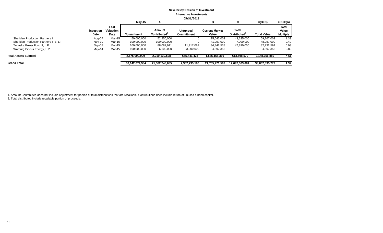|                                        |                   |                           | $May-15$       | A                            |                                      | в                              | C                                 | $=(B+C)$           | $=(B+C)/A$                               |
|----------------------------------------|-------------------|---------------------------|----------------|------------------------------|--------------------------------------|--------------------------------|-----------------------------------|--------------------|------------------------------------------|
|                                        | Inception<br>Date | Last<br>Valuation<br>Date | Commitment     | Amount<br><b>Contributed</b> | <b>Unfunded</b><br><b>Commitment</b> | <b>Current Market</b><br>Value | Total<br>Distributed <sup>2</sup> | <b>Total Value</b> | <b>Total</b><br>Value<br><b>Multiple</b> |
| <b>Sheridan Production Partners I</b>  | Aug-07            | Mar-15                    | 50,000,000     | 52,250,000                   |                                      | 25.642.003                     | 43.625.000                        | 69,267,003         | 1.33                                     |
| Sheridan Production Partners II-B, L.P | Nov-10            | Mar-15                    | 100,000,000    | 100,000,000                  |                                      | 41,957,000                     | 7,000,000                         | 48.957.000         | 0.49                                     |
| Tenaska Power Fund II, L.P.            | Sep-08            | Mar-15                    | 100,000,000    | 88,082,911                   | 11.917.089                           | 34,342,538                     | 47,890,056                        | 82,232,594         | 0.93                                     |
| Warburg Pincus Energy, L.P.            | May-14            | Mar-15                    | 100,000,000    | 6,100,000                    | 93,900,000                           | 4,897,355                      |                                   | 4,897,355          | 0.80                                     |
| <b>Real Assets Subtotal</b>            |                   |                           | 2,575,000,000  | 2,219,130,598                | 655,441,424                          | 1,535,158,310                  | 613,598,570                       | 2,148,756,880      | 0.97                                     |
| <b>Grand Total</b>                     |                   |                           | 30,142,674,984 | 25,582,748,685               | 7,352,795,186                        | 21,705,471,587                 | 12,097,363,684                    | 33,802,835,272     | 1.32                                     |

1. Amount Contributed does not include adjustment for portion of total distributions that are recallable. Contributions does include return of unused funded capital.

2. Total distributed include recallable portion of proceeds.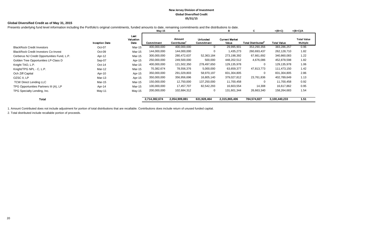#### **New Jersey Division of Investment Global Diversified Credit 05/31/15**

## **Global Diversified Credit as of May 31, 2015**

Presents underlying fund level information including the Portfolio's original commitments, funded amounts to date, remaining commitments and the distributions to date.

|                                             |                       |                           | May-15            | A                     |                               | в                              | C.                             | $=(B+C)$           | $=(B+C)/A$                            |
|---------------------------------------------|-----------------------|---------------------------|-------------------|-----------------------|-------------------------------|--------------------------------|--------------------------------|--------------------|---------------------------------------|
|                                             | <b>Inception Date</b> | Last<br>Valuation<br>Date | <b>Commitment</b> | Amount<br>Contributed | <b>Unfunded</b><br>Commitment | <b>Current Market</b><br>Value | Total Distributed <sup>2</sup> | <b>Total Value</b> | <b>Total Value</b><br><b>Multiple</b> |
| <b>BlackRock Credit Investors</b>           | Oct-07                | Mar-15                    | 400,000,000       | 400,000,000           | 0                             | 29,995,901                     | 353,290,356                    | 383,286,257        | 0.96                                  |
| <b>BlackRock Credit Investors Co-Invest</b> | Oct-09                | Mar-15                    | 144,000,000       | 144,000,000           | 0                             | 1,435,273                      | 260,693,437                    | 262,128,710        | 1.82                                  |
| Cerberus NJ Credit Opportunities Fund, L.P. | Apr-12                | Mar-15                    | 300,000,000       | 280,472,637           | 52,363,184                    | 273,198,392                    | 67,661,692                     | 340,860,083        | 1.22                                  |
| Golden Tree Opportunities LP-Class D        | Sep-07                | Apr-15                    | 250,000,000       | 249,500,000           | 500,000                       | 448,202,512                    | 4,676,086                      | 452,878,598        | 1.82                                  |
| Knight TAO, L.P.                            | $Oct-14$              | Mar-15                    | 400,000,000       | 121,502,350           | 278,497,650                   | 129,135,978                    | $\mathbf 0$                    | 129,135,978        | 1.06                                  |
| Knight/TPG NPL - C, L.P.                    | Mar-12                | Mar-15                    | 70,382,674        | 78,556,376            | 5,000,000                     | 63,659,377                     | 47,813,773                     | 111,473,150        | 1.42                                  |
| Och Ziff Capital                            | Apr-10                | Apr-15                    | 350,000,000       | 291,029,803           | 58,970,197                    | 831,304,805                    | $\mathbf 0$                    | 831,304,805        | 2.86                                  |
| OZSC II, LP                                 | Mar-13                | Apr-15                    | 350,000,000       | 356,956,696           | 16,805,140                    | 379,027,812                    | 23,761,836                     | 402,789,649        | 1.13                                  |
| <b>TCW Direct Lending LLC</b>               | Mar-15                | Mar-15                    | 150,000,000       | 12,750,000            | 137,250,000                   | 11,700,458                     | $\Omega$                       | 11,700,458         | 0.92                                  |
| TPG Opportunities Partners III (A), LP      | Apr-14                | Mar-15                    | 100,000,000       | 17,457,707            | 82,542,293                    | 16,603,554                     | 14,308                         | 16,617,862         | 0.95                                  |
| TPG Specialty Lending, Inc.                 | May-11                | May-15                    | 200,000,000       | 102,684,312           | 0                             | 131,601,344                    | 26,663,340                     | 158,264,683        | 1.54                                  |
| Total                                       |                       |                           | 2,714,382,674     | 2,054,909,881         | 631,928,464                   | 2,315,865,406                  | 784,574,827                    | 3,100,440,233      | 1.51                                  |

1. Amount Contributed does not include adjustment for portion of total distributions that are recallable. Contributions does include return of unused funded capital.

2. Total distributed include recallable portion of proceeds.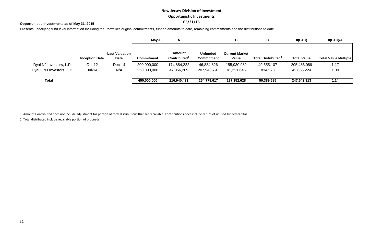# **New Jersey Division of Investment Opportunistic Investments 05/31/15**

## **Opportunistic Investments as of May 31, 2015**

Presents underlying fund level information including the Portfolio's original commitments, funded amounts to date, remaining commitments and the distributions to date.

|                            |                       |                               | $Mav-15$          | A                                  |                                      | в                              | ⌒                              | $=(B+C)$           | $=(B+C)/A$                  |
|----------------------------|-----------------------|-------------------------------|-------------------|------------------------------------|--------------------------------------|--------------------------------|--------------------------------|--------------------|-----------------------------|
|                            | <b>Inception Date</b> | <b>Last Valuation</b><br>Date | <b>Commitment</b> | Amount<br>Contributed <sup>1</sup> | <b>Unfunded</b><br><b>Commitment</b> | <b>Current Market</b><br>Value | Total Distributed <sup>2</sup> | <b>Total Value</b> | <b>Total Value Multiple</b> |
| Dyal NJ Investors, L.P.    | Oct-12                | Dec-14                        | 200,000,000       | 174,884,222                        | 46,834,826                           | 155,930,982                    | 49,555,107                     | 205,486,089        | 1.17                        |
| Dyal II NJ Investors, L.P. | $Jul-14$              | N/A                           | 250,000,000       | 42,056,209                         | 207,943,791                          | 41,221,646                     | 834,578                        | 42,056,224         | 1.00                        |
| Total                      |                       |                               | 450,000,000       | 216,940,431                        | 254,778,617                          | 197,152,628                    | 50,389,685                     | 247,542,313        | 1.14                        |

1. Amount Contributed does not include adjustment for portion of total distributions that are recallable. Contributions does include return of unused funded capital.

2. Total distributed include recallable portion of proceeds.